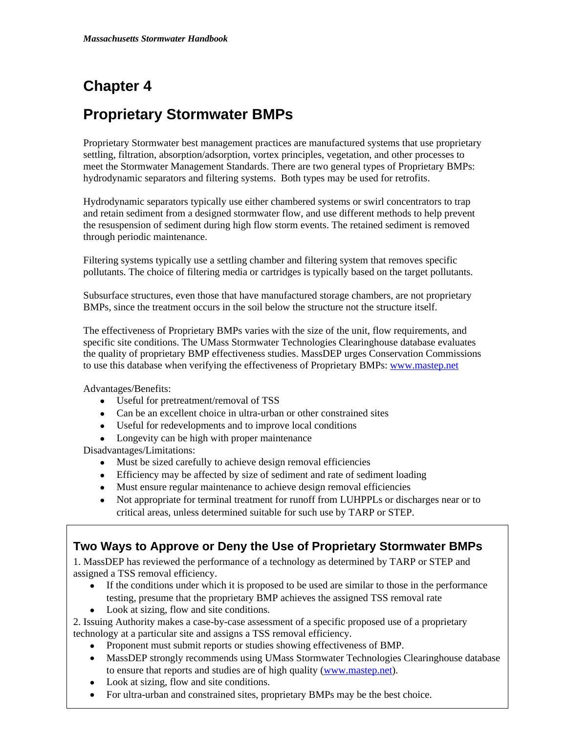# **Chapter 4**

# **Proprietary Stormwater BMPs**

Proprietary Stormwater best management practices are manufactured systems that use proprietary settling, filtration, absorption/adsorption, vortex principles, vegetation, and other processes to meet the Stormwater Management Standards. There are two general types of Proprietary BMPs: hydrodynamic separators and filtering systems. Both types may be used for retrofits.

Hydrodynamic separators typically use either chambered systems or swirl concentrators to trap and retain sediment from a designed stormwater flow, and use different methods to help prevent the resuspension of sediment during high flow storm events. The retained sediment is removed through periodic maintenance.

Filtering systems typically use a settling chamber and filtering system that removes specific pollutants. The choice of filtering media or cartridges is typically based on the target pollutants.

Subsurface structures, even those that have manufactured storage chambers, are not proprietary BMPs, since the treatment occurs in the soil below the structure not the structure itself.

The effectiveness of Proprietary BMPs varies with the size of the unit, flow requirements, and specific site conditions. The UMass Stormwater Technologies Clearinghouse database evaluates the quality of proprietary BMP effectiveness studies. MassDEP urges Conservation Commissions to use this database when verifying the effectiveness of Proprietary BMPs: [www.mastep.net](http://www.mastep.net)

Advantages/Benefits:

- Useful for pretreatment/removal of TSS
- Can be an excellent choice in ultra-urban or other constrained sites
- Useful for redevelopments and to improve local conditions
- Longevity can be high with proper maintenance

Disadvantages/Limitations:

- Must be sized carefully to achieve design removal efficiencies
- Efficiency may be affected by size of sediment and rate of sediment loading
- Must ensure regular maintenance to achieve design removal efficiencies
- Not appropriate for terminal treatment for runoff from LUHPPLs or discharges near or to critical areas, unless determined suitable for such use by TARP or STEP.

# **Two Ways to Approve or Deny the Use of Proprietary Stormwater BMPs**

1. MassDEP has reviewed the performance of a technology as determined by TARP or STEP and assigned a TSS removal efficiency.

- If the conditions under which it is proposed to be used are similar to those in the performance testing, presume that the proprietary BMP achieves the assigned TSS removal rate
- Look at sizing, flow and site conditions.

2. Issuing Authority makes a case-by-case assessment of a specific proposed use of a proprietary technology at a particular site and assigns a TSS removal efficiency.

- Proponent must submit reports or studies showing effectiveness of BMP.
- to ensure that reports and studies are of high quality ([www.mastep.net\)](http://www.mastep.net). MassDEP strongly recommends using UMass Stormwater Technologies Clearinghouse database
- $\bullet$  Look at sizing, flow and site conditions.
- For ultra-urban and constrained sites, proprietary BMPs may be the best choice.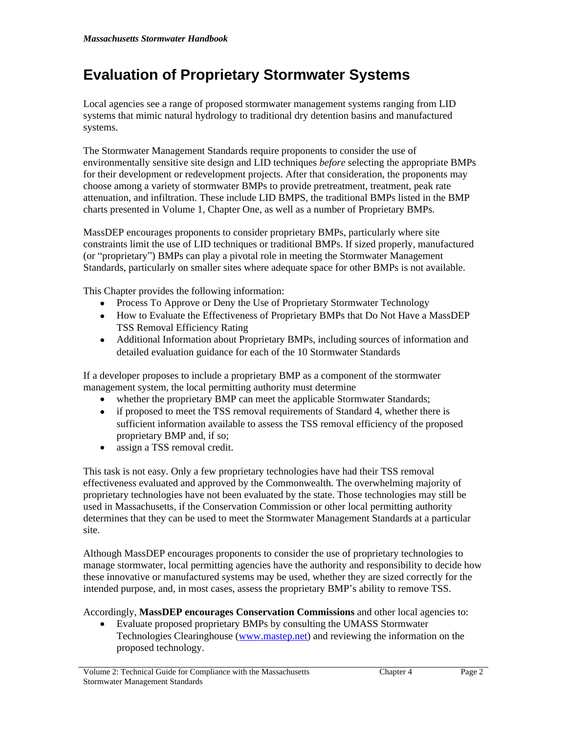# **Evaluation of Proprietary Stormwater Systems**

Local agencies see a range of proposed stormwater management systems ranging from LID systems that mimic natural hydrology to traditional dry detention basins and manufactured systems.

The Stormwater Management Standards require proponents to consider the use of environmentally sensitive site design and LID techniques *before* selecting the appropriate BMPs for their development or redevelopment projects. After that consideration, the proponents may choose among a variety of stormwater BMPs to provide pretreatment, treatment, peak rate attenuation, and infiltration. These include LID BMPS, the traditional BMPs listed in the BMP charts presented in Volume 1, Chapter One, as well as a number of Proprietary BMPs.

MassDEP encourages proponents to consider proprietary BMPs, particularly where site constraints limit the use of LID techniques or traditional BMPs. If sized properly, manufactured (or "proprietary") BMPs can play a pivotal role in meeting the Stormwater Management Standards, particularly on smaller sites where adequate space for other BMPs is not available.

This Chapter provides the following information:

- Process To Approve or Deny the Use of Proprietary Stormwater Technology
- How to Evaluate the Effectiveness of Proprietary BMPs that Do Not Have a MassDEP TSS Removal Efficiency Rating
- Additional Information about Proprietary BMPs, including sources of information and detailed evaluation guidance for each of the 10 Stormwater Standards

If a developer proposes to include a proprietary BMP as a component of the stormwater management system, the local permitting authority must determine

- whether the proprietary BMP can meet the applicable Stormwater Standards;
- if proposed to meet the TSS removal requirements of Standard 4, whether there is sufficient information available to assess the TSS removal efficiency of the proposed proprietary BMP and, if so;
- assign a TSS removal credit.

This task is not easy. Only a few proprietary technologies have had their TSS removal effectiveness evaluated and approved by the Commonwealth. The overwhelming majority of proprietary technologies have not been evaluated by the state. Those technologies may still be used in Massachusetts, if the Conservation Commission or other local permitting authority determines that they can be used to meet the Stormwater Management Standards at a particular site.

Although MassDEP encourages proponents to consider the use of proprietary technologies to manage stormwater, local permitting agencies have the authority and responsibility to decide how these innovative or manufactured systems may be used, whether they are sized correctly for the intended purpose, and, in most cases, assess the proprietary BMP's ability to remove TSS.

Accordingly, **MassDEP encourages Conservation Commissions** and other local agencies to:

 Evaluate proposed proprietary BMPs by consulting the UMASS Stormwater Technologies Clearinghouse ([www.mastep.net\)](http://www.mastep.net) and reviewing the information on the proposed technology.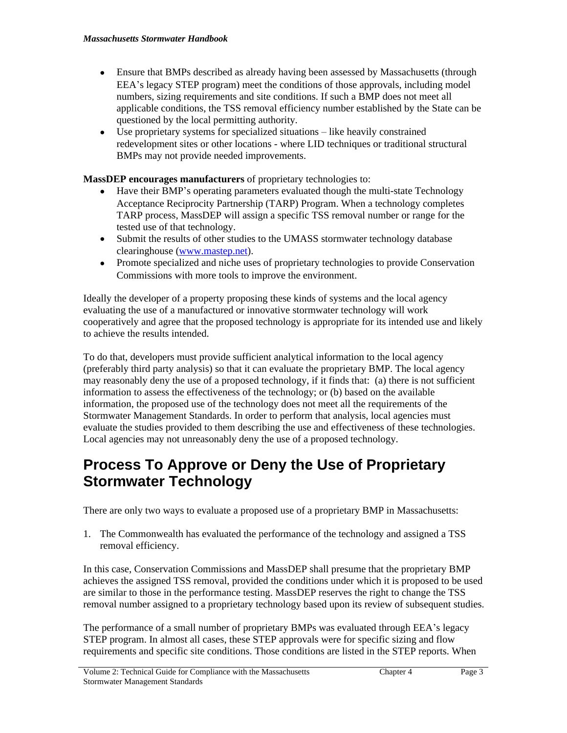- Ensure that BMPs described as already having been assessed by Massachusetts (through EEA's legacy STEP program) meet the conditions of those approvals, including model numbers, sizing requirements and site conditions. If such a BMP does not meet all applicable conditions, the TSS removal efficiency number established by the State can be questioned by the local permitting authority.
- Use proprietary systems for specialized situations like heavily constrained redevelopment sites or other locations - where LID techniques or traditional structural BMPs may not provide needed improvements.

**MassDEP encourages manufacturers** of proprietary technologies to:

- Have their BMP's operating parameters evaluated though the multi-state Technology Acceptance Reciprocity Partnership (TARP) Program. When a technology completes TARP process, MassDEP will assign a specific TSS removal number or range for the tested use of that technology.
- Submit the results of other studies to the UMASS stormwater technology database clearinghouse ([www.mastep.net](http://www.mastep.net)).
- Promote specialized and niche uses of proprietary technologies to provide Conservation Commissions with more tools to improve the environment.

Ideally the developer of a property proposing these kinds of systems and the local agency evaluating the use of a manufactured or innovative stormwater technology will work cooperatively and agree that the proposed technology is appropriate for its intended use and likely to achieve the results intended.

To do that, developers must provide sufficient analytical information to the local agency (preferably third party analysis) so that it can evaluate the proprietary BMP. The local agency may reasonably deny the use of a proposed technology, if it finds that: (a) there is not sufficient information to assess the effectiveness of the technology; or (b) based on the available information, the proposed use of the technology does not meet all the requirements of the Stormwater Management Standards. In order to perform that analysis, local agencies must evaluate the studies provided to them describing the use and effectiveness of these technologies. Local agencies may not unreasonably deny the use of a proposed technology.

# **Process To Approve or Deny the Use of Proprietary Stormwater Technology**

There are only two ways to evaluate a proposed use of a proprietary BMP in Massachusetts:

1. The Commonwealth has evaluated the performance of the technology and assigned a TSS removal efficiency.

In this case, Conservation Commissions and MassDEP shall presume that the proprietary BMP achieves the assigned TSS removal, provided the conditions under which it is proposed to be used are similar to those in the performance testing. MassDEP reserves the right to change the TSS removal number assigned to a proprietary technology based upon its review of subsequent studies.

The performance of a small number of proprietary BMPs was evaluated through EEA's legacy STEP program. In almost all cases, these STEP approvals were for specific sizing and flow requirements and specific site conditions. Those conditions are listed in the STEP reports. When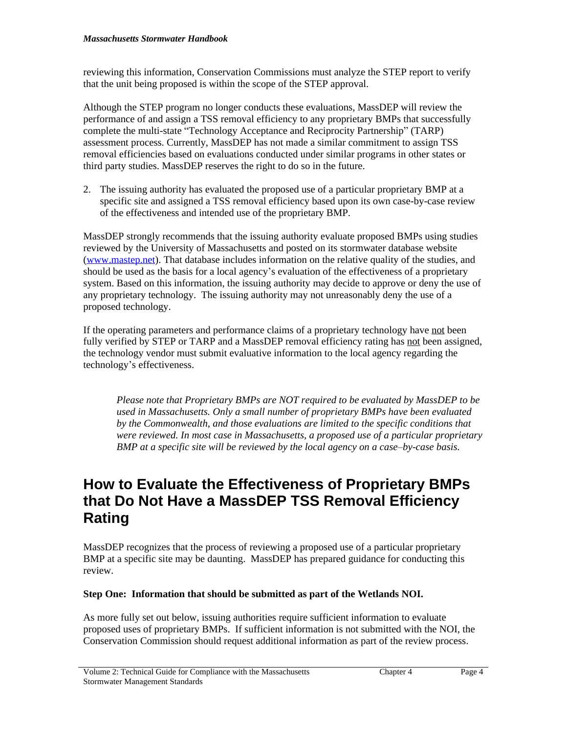reviewing this information, Conservation Commissions must analyze the STEP report to verify that the unit being proposed is within the scope of the STEP approval.

Although the STEP program no longer conducts these evaluations, MassDEP will review the performance of and assign a TSS removal efficiency to any proprietary BMPs that successfully complete the multi-state "Technology Acceptance and Reciprocity Partnership" (TARP) assessment process. Currently, MassDEP has not made a similar commitment to assign TSS removal efficiencies based on evaluations conducted under similar programs in other states or third party studies. MassDEP reserves the right to do so in the future.

2. The issuing authority has evaluated the proposed use of a particular proprietary BMP at a specific site and assigned a TSS removal efficiency based upon its own case-by-case review of the effectiveness and intended use of the proprietary BMP.

MassDEP strongly recommends that the issuing authority evaluate proposed BMPs using studies reviewed by the University of Massachusetts and posted on its stormwater database website ([www.mastep.net\)](http://www.mastep.net). That database includes information on the relative quality of the studies, and should be used as the basis for a local agency's evaluation of the effectiveness of a proprietary system. Based on this information, the issuing authority may decide to approve or deny the use of any proprietary technology. The issuing authority may not unreasonably deny the use of a proposed technology.

If the operating parameters and performance claims of a proprietary technology have not been fully verified by STEP or TARP and a MassDEP removal efficiency rating has not been assigned, the technology vendor must submit evaluative information to the local agency regarding the technology's effectiveness.

*Please note that Proprietary BMPs are NOT required to be evaluated by MassDEP to be used in Massachusetts. Only a small number of proprietary BMPs have been evaluated by the Commonwealth, and those evaluations are limited to the specific conditions that were reviewed. In most case in Massachusetts, a proposed use of a particular proprietary BMP at a specific site will be reviewed by the local agency on a case–by-case basis.* 

# **How to Evaluate the Effectiveness of Proprietary BMPs that Do Not Have a MassDEP TSS Removal Efficiency Rating**

MassDEP recognizes that the process of reviewing a proposed use of a particular proprietary BMP at a specific site may be daunting. MassDEP has prepared guidance for conducting this review.

### **Step One: Information that should be submitted as part of the Wetlands NOI.**

As more fully set out below, issuing authorities require sufficient information to evaluate proposed uses of proprietary BMPs. If sufficient information is not submitted with the NOI, the Conservation Commission should request additional information as part of the review process.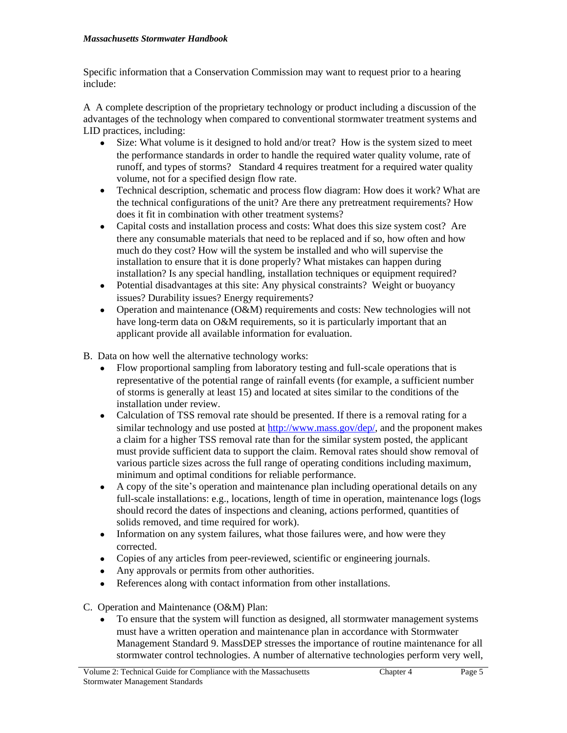Specific information that a Conservation Commission may want to request prior to a hearing include:

A A complete description of the proprietary technology or product including a discussion of the advantages of the technology when compared to conventional stormwater treatment systems and LID practices, including:

- Size: What volume is it designed to hold and/or treat? How is the system sized to meet the performance standards in order to handle the required water quality volume, rate of runoff, and types of storms? Standard 4 requires treatment for a required water quality volume, not for a specified design flow rate.
- Technical description, schematic and process flow diagram: How does it work? What are the technical configurations of the unit? Are there any pretreatment requirements? How does it fit in combination with other treatment systems?
- Capital costs and installation process and costs: What does this size system cost? Are there any consumable materials that need to be replaced and if so, how often and how much do they cost? How will the system be installed and who will supervise the installation to ensure that it is done properly? What mistakes can happen during installation? Is any special handling, installation techniques or equipment required?
- Potential disadvantages at this site: Any physical constraints? Weight or buoyancy issues? Durability issues? Energy requirements?
- Operation and maintenance (O&M) requirements and costs: New technologies will not have long-term data on O&M requirements, so it is particularly important that an applicant provide all available information for evaluation.
- B. Data on how well the alternative technology works:
	- Flow proportional sampling from laboratory testing and full-scale operations that is representative of the potential range of rainfall events (for example, a sufficient number of storms is generally at least 15) and located at sites similar to the conditions of the installation under review.
	- Calculation of TSS removal rate should be presented. If there is a removal rating for a similar technology and use posted at<http://www.mass.gov/dep/>, and the proponent makes a claim for a higher TSS removal rate than for the similar system posted, the applicant must provide sufficient data to support the claim. Removal rates should show removal of various particle sizes across the full range of operating conditions including maximum, minimum and optimal conditions for reliable performance.
	- A copy of the site's operation and maintenance plan including operational details on any full-scale installations: e.g., locations, length of time in operation, maintenance logs (logs should record the dates of inspections and cleaning, actions performed, quantities of solids removed, and time required for work).
	- Information on any system failures, what those failures were, and how were they corrected.
	- Copies of any articles from peer-reviewed, scientific or engineering journals.
	- Any approvals or permits from other authorities.
	- References along with contact information from other installations.

C. Operation and Maintenance (O&M) Plan:

 To ensure that the system will function as designed, all stormwater management systems must have a written operation and maintenance plan in accordance with Stormwater Management Standard 9. MassDEP stresses the importance of routine maintenance for all stormwater control technologies. A number of alternative technologies perform very well,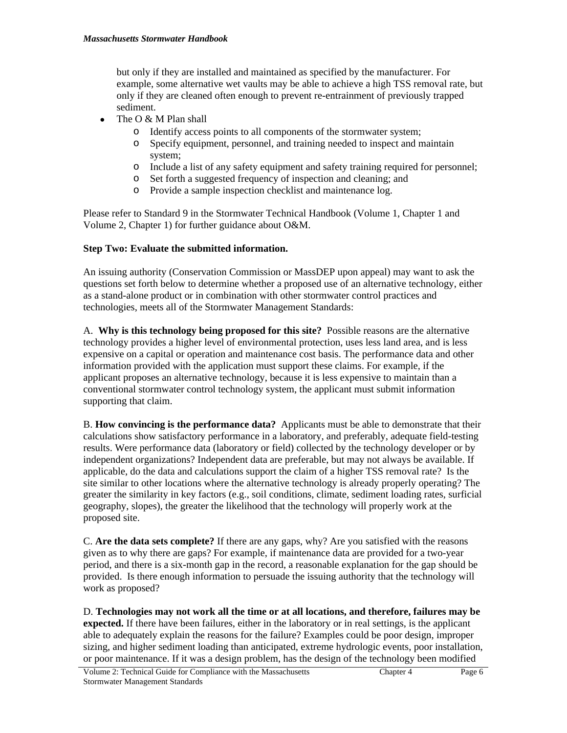but only if they are installed and maintained as specified by the manufacturer. For example, some alternative wet vaults may be able to achieve a high TSS removal rate, but only if they are cleaned often enough to prevent re-entrainment of previously trapped sediment.

- The  $O & M$  Plan shall
	- o Identify access points to all components of the stormwater system;
	- o Specify equipment, personnel, and training needed to inspect and maintain system;
	- o Include a list of any safety equipment and safety training required for personnel;
	- o Set forth a suggested frequency of inspection and cleaning; and
	- o Provide a sample inspection checklist and maintenance log.

Please refer to Standard 9 in the Stormwater Technical Handbook (Volume 1, Chapter 1 and Volume 2, Chapter 1) for further guidance about O&M.

#### **Step Two: Evaluate the submitted information.**

An issuing authority (Conservation Commission or MassDEP upon appeal) may want to ask the questions set forth below to determine whether a proposed use of an alternative technology, either as a stand-alone product or in combination with other stormwater control practices and technologies, meets all of the Stormwater Management Standards:

A. **Why is this technology being proposed for this site?** Possible reasons are the alternative technology provides a higher level of environmental protection, uses less land area, and is less expensive on a capital or operation and maintenance cost basis. The performance data and other information provided with the application must support these claims. For example, if the applicant proposes an alternative technology, because it is less expensive to maintain than a conventional stormwater control technology system, the applicant must submit information supporting that claim.

B. **How convincing is the performance data?** Applicants must be able to demonstrate that their calculations show satisfactory performance in a laboratory, and preferably, adequate field-testing results. Were performance data (laboratory or field) collected by the technology developer or by independent organizations? Independent data are preferable, but may not always be available. If applicable, do the data and calculations support the claim of a higher TSS removal rate? Is the site similar to other locations where the alternative technology is already properly operating? The greater the similarity in key factors (e.g., soil conditions, climate, sediment loading rates, surficial geography, slopes), the greater the likelihood that the technology will properly work at the proposed site.

C. **Are the data sets complete?** If there are any gaps, why? Are you satisfied with the reasons given as to why there are gaps? For example, if maintenance data are provided for a two-year period, and there is a six-month gap in the record, a reasonable explanation for the gap should be provided. Is there enough information to persuade the issuing authority that the technology will work as proposed?

D. **Technologies may not work all the time or at all locations, and therefore, failures may be expected.** If there have been failures, either in the laboratory or in real settings, is the applicant able to adequately explain the reasons for the failure? Examples could be poor design, improper sizing, and higher sediment loading than anticipated, extreme hydrologic events, poor installation, or poor maintenance. If it was a design problem, has the design of the technology been modified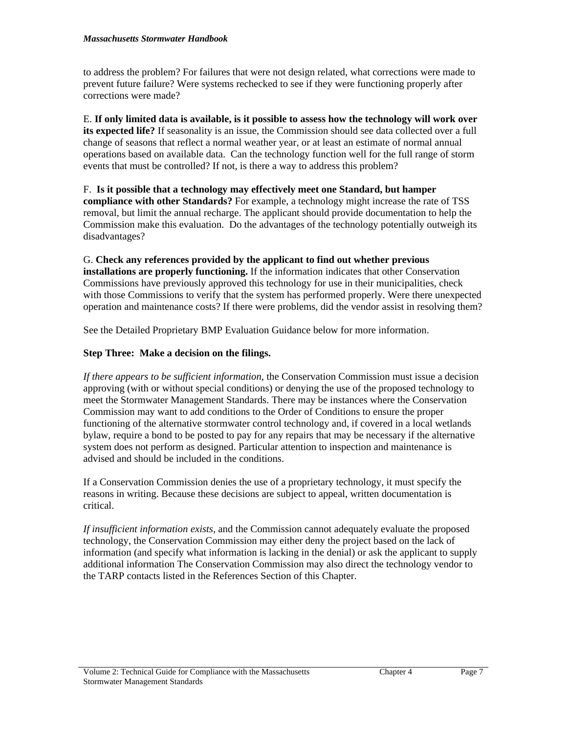to address the problem? For failures that were not design related, what corrections were made to prevent future failure? Were systems rechecked to see if they were functioning properly after corrections were made?

E. **If only limited data is available, is it possible to assess how the technology will work over its expected life?** If seasonality is an issue, the Commission should see data collected over a full change of seasons that reflect a normal weather year, or at least an estimate of normal annual operations based on available data. Can the technology function well for the full range of storm events that must be controlled? If not, is there a way to address this problem?

F. **Is it possible that a technology may effectively meet one Standard, but hamper compliance with other Standards?** For example, a technology might increase the rate of TSS removal, but limit the annual recharge. The applicant should provide documentation to help the Commission make this evaluation. Do the advantages of the technology potentially outweigh its disadvantages?

G. **Check any references provided by the applicant to find out whether previous installations are properly functioning.** If the information indicates that other Conservation Commissions have previously approved this technology for use in their municipalities, check with those Commissions to verify that the system has performed properly. Were there unexpected operation and maintenance costs? If there were problems, did the vendor assist in resolving them?

See the Detailed Proprietary BMP Evaluation Guidance below for more information.

#### **Step Three: Make a decision on the filings.**

*If there appears to be sufficient information*, the Conservation Commission must issue a decision approving (with or without special conditions) or denying the use of the proposed technology to meet the Stormwater Management Standards. There may be instances where the Conservation Commission may want to add conditions to the Order of Conditions to ensure the proper functioning of the alternative stormwater control technology and, if covered in a local wetlands bylaw, require a bond to be posted to pay for any repairs that may be necessary if the alternative system does not perform as designed. Particular attention to inspection and maintenance is advised and should be included in the conditions.

If a Conservation Commission denies the use of a proprietary technology, it must specify the reasons in writing. Because these decisions are subject to appeal, written documentation is critical.

*If insufficient information exists*, and the Commission cannot adequately evaluate the proposed technology, the Conservation Commission may either deny the project based on the lack of information (and specify what information is lacking in the denial) or ask the applicant to supply additional information The Conservation Commission may also direct the technology vendor to the TARP contacts listed in the References Section of this Chapter.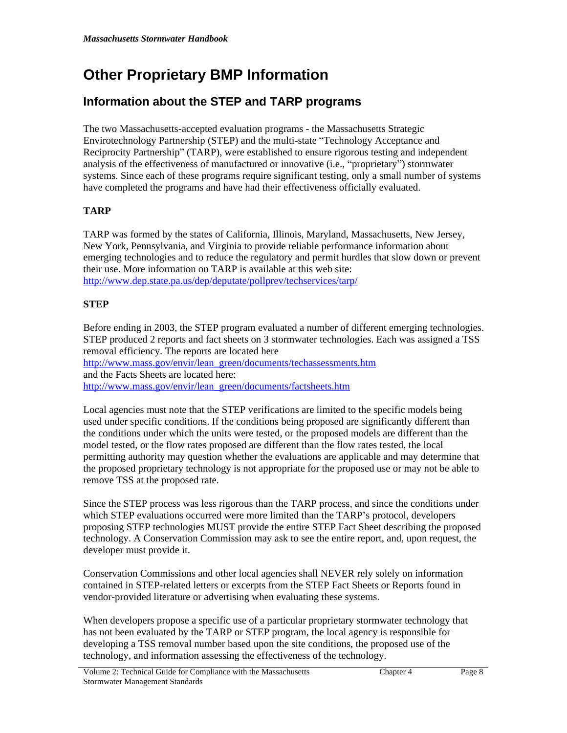# **Other Proprietary BMP Information**

# **Information about the STEP and TARP programs**

The two Massachusetts-accepted evaluation programs - the Massachusetts Strategic Envirotechnology Partnership (STEP) and the multi-state "Technology Acceptance and Reciprocity Partnership" (TARP), were established to ensure rigorous testing and independent analysis of the effectiveness of manufactured or innovative (i.e., "proprietary") stormwater systems. Since each of these programs require significant testing, only a small number of systems have completed the programs and have had their effectiveness officially evaluated.

## **TARP**

TARP was formed by the states of California, Illinois, Maryland, Massachusetts, New Jersey, New York, Pennsylvania, and Virginia to provide reliable performance information about emerging technologies and to reduce the regulatory and permit hurdles that slow down or prevent their use. More information on TARP is available at this web site: <http://www.dep.state.pa.us/dep/deputate/pollprev/techservices/tarp/>

### **STEP**

Before ending in 2003, the STEP program evaluated a number of different emerging technologies. STEP produced 2 reports and fact sheets on 3 stormwater technologies. Each was assigned a TSS removal efficiency. The reports are located here [http://www.mass.gov/envir/lean\\_green/documents/techassessments.htm](http://www.mass.gov/envir/lean_green/documents/techassessments.htm) and the Facts Sheets are located here:

[http://www.mass.gov/envir/lean\\_green/documents/factsheets.htm](http://www.mass.gov/envir/lean_green/documents/factsheets.htm)

Local agencies must note that the STEP verifications are limited to the specific models being used under specific conditions. If the conditions being proposed are significantly different than the conditions under which the units were tested, or the proposed models are different than the model tested, or the flow rates proposed are different than the flow rates tested, the local permitting authority may question whether the evaluations are applicable and may determine that the proposed proprietary technology is not appropriate for the proposed use or may not be able to remove TSS at the proposed rate.

Since the STEP process was less rigorous than the TARP process, and since the conditions under which STEP evaluations occurred were more limited than the TARP's protocol, developers proposing STEP technologies MUST provide the entire STEP Fact Sheet describing the proposed technology. A Conservation Commission may ask to see the entire report, and, upon request, the developer must provide it.

Conservation Commissions and other local agencies shall NEVER rely solely on information contained in STEP-related letters or excerpts from the STEP Fact Sheets or Reports found in vendor-provided literature or advertising when evaluating these systems.

When developers propose a specific use of a particular proprietary stormwater technology that has not been evaluated by the TARP or STEP program, the local agency is responsible for developing a TSS removal number based upon the site conditions, the proposed use of the technology, and information assessing the effectiveness of the technology.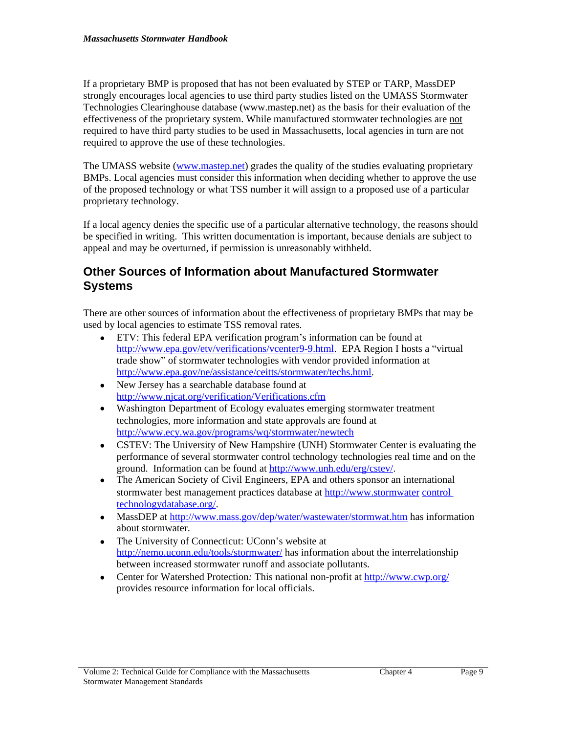If a proprietary BMP is proposed that has not been evaluated by STEP or TARP, MassDEP strongly encourages local agencies to use third party studies listed on the UMASS Stormwater Technologies Clearinghouse database (www.mastep.net) as the basis for their evaluation of the effectiveness of the proprietary system. While manufactured stormwater technologies are not required to have third party studies to be used in Massachusetts, local agencies in turn are not required to approve the use of these technologies.

The UMASS website ([www.mastep.net](http://www.mastep.net)) grades the quality of the studies evaluating proprietary BMPs. Local agencies must consider this information when deciding whether to approve the use of the proposed technology or what TSS number it will assign to a proposed use of a particular proprietary technology.

If a local agency denies the specific use of a particular alternative technology, the reasons should be specified in writing. This written documentation is important, because denials are subject to appeal and may be overturned, if permission is unreasonably withheld.

## **Other Sources of Information about Manufactured Stormwater Systems**

There are other sources of information about the effectiveness of proprietary BMPs that may be used by local agencies to estimate TSS removal rates.

- ETV: This federal EPA verification program's information can be found at [http://www.epa.gov/etv/verifications/vcenter9-9.html.](http://www.epa.gov/etv/verifications/vcenter9-9.html) EPA Region I hosts a "virtual trade show" of stormwater technologies with vendor provided information at <http://www.epa.gov/ne/assistance/ceitts/stormwater/techs.html>.
- New Jersey has a searchable database found at <http://www.njcat.org/verification/Verifications.cfm>
- Washington Department of Ecology evaluates emerging stormwater treatment technologies, more information and state approvals are found at <http://www.ecy.wa.gov/programs/wq/stormwater/newtech>
- CSTEV: The University of New Hampshire (UNH) Stormwater Center is evaluating the performance of several stormwater control technology technologies real time and on the ground. Information can be found at [http://www.unh.edu/erg/cstev/.](http://www.unh.edu/erg/cstev/)
- The American Society of Civil Engineers, EPA and others sponsor an international stormwater best management practices database at [http://www.stormwater](http://www.bmpdatabase.org/) [control](http://www.bmpdatabase.org/)  technologydatabase.org/.
- MassDEP at<http://www.mass.gov/dep/water/wastewater/stormwat.htm> has information about stormwater.
- The University of Connecticut: UConn's website at <http://nemo.uconn.edu/tools/stormwater/> has information about the interrelationship between increased stormwater runoff and associate pollutants.
- Center for Watershed Protection*:* This national non-profit at <http://www.cwp.org/> provides resource information for local officials.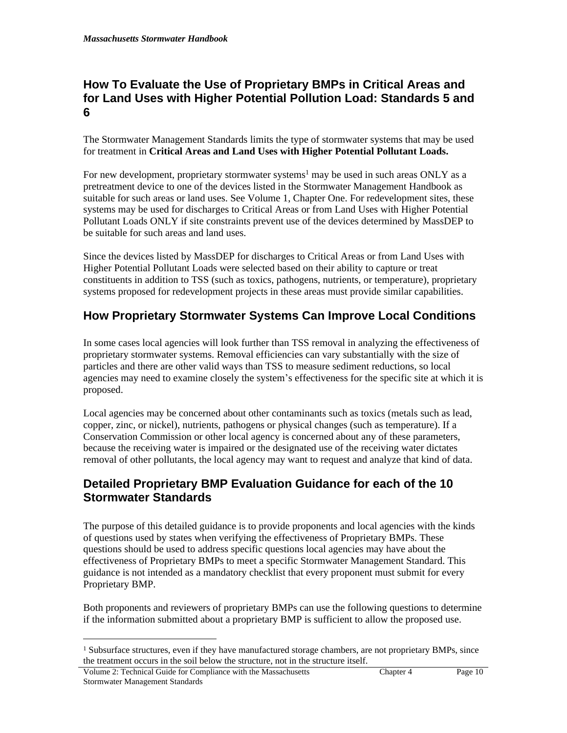# **How To Evaluate the Use of Proprietary BMPs in Critical Areas and for Land Uses with Higher Potential Pollution Load: Standards 5 and 6**

The Stormwater Management Standards limits the type of stormwater systems that may be used for treatment in **Critical Areas and Land Uses with Higher Potential Pollutant Loads.**

For new development, proprietary stormwater systems<sup>1</sup> may be used in such areas ONLY as a pretreatment device to one of the devices listed in the Stormwater Management Handbook as suitable for such areas or land uses. See Volume 1, Chapter One. For redevelopment sites, these systems may be used for discharges to Critical Areas or from Land Uses with Higher Potential Pollutant Loads ONLY if site constraints prevent use of the devices determined by MassDEP to be suitable for such areas and land uses.

Since the devices listed by MassDEP for discharges to Critical Areas or from Land Uses with Higher Potential Pollutant Loads were selected based on their ability to capture or treat constituents in addition to TSS (such as toxics, pathogens, nutrients, or temperature), proprietary systems proposed for redevelopment projects in these areas must provide similar capabilities.

# **How Proprietary Stormwater Systems Can Improve Local Conditions**

In some cases local agencies will look further than TSS removal in analyzing the effectiveness of proprietary stormwater systems. Removal efficiencies can vary substantially with the size of particles and there are other valid ways than TSS to measure sediment reductions, so local agencies may need to examine closely the system's effectiveness for the specific site at which it is proposed.

Local agencies may be concerned about other contaminants such as toxics (metals such as lead, copper, zinc, or nickel), nutrients, pathogens or physical changes (such as temperature). If a Conservation Commission or other local agency is concerned about any of these parameters, because the receiving water is impaired or the designated use of the receiving water dictates removal of other pollutants, the local agency may want to request and analyze that kind of data.

# **Detailed Proprietary BMP Evaluation Guidance for each of the 10 Stormwater Standards**

The purpose of this detailed guidance is to provide proponents and local agencies with the kinds of questions used by states when verifying the effectiveness of Proprietary BMPs. These questions should be used to address specific questions local agencies may have about the effectiveness of Proprietary BMPs to meet a specific Stormwater Management Standard. This guidance is not intended as a mandatory checklist that every proponent must submit for every Proprietary BMP.

Both proponents and reviewers of proprietary BMPs can use the following questions to determine if the information submitted about a proprietary BMP is sufficient to allow the proposed use.

<sup>&</sup>lt;sup>1</sup> Subsurface structures, even if they have manufactured storage chambers, are not proprietary BMPs, since the treatment occurs in the soil below the structure, not in the structure itself.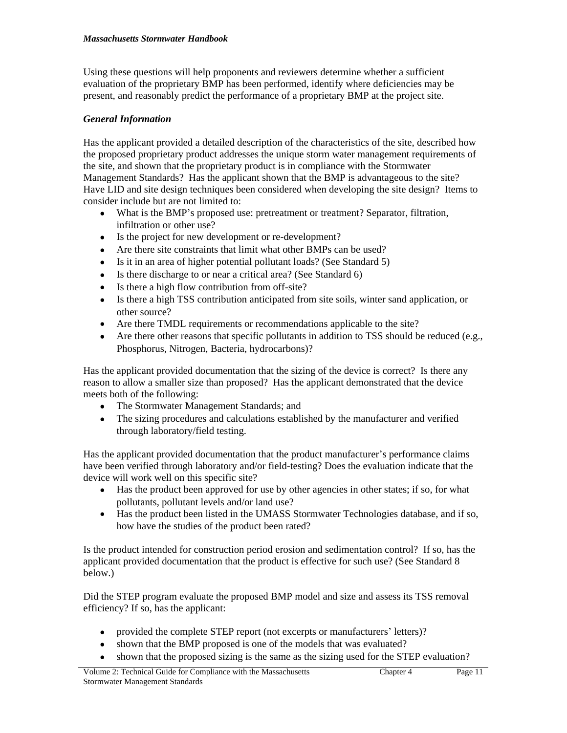Using these questions will help proponents and reviewers determine whether a sufficient evaluation of the proprietary BMP has been performed, identify where deficiencies may be present, and reasonably predict the performance of a proprietary BMP at the project site.

## *General Information*

Has the applicant provided a detailed description of the characteristics of the site, described how the proposed proprietary product addresses the unique storm water management requirements of the site, and shown that the proprietary product is in compliance with the Stormwater Management Standards? Has the applicant shown that the BMP is advantageous to the site? Have LID and site design techniques been considered when developing the site design? Items to consider include but are not limited to:

- What is the BMP's proposed use: pretreatment or treatment? Separator, filtration, infiltration or other use?
- Is the project for new development or re-development?
- Are there site constraints that limit what other BMPs can be used?
- Is it in an area of higher potential pollutant loads? (See Standard 5)
- Is there discharge to or near a critical area? (See Standard 6)
- Is there a high flow contribution from off-site?
- Is there a high TSS contribution anticipated from site soils, winter sand application, or other source?
- Are there TMDL requirements or recommendations applicable to the site?
- Are there other reasons that specific pollutants in addition to TSS should be reduced (e.g., Phosphorus, Nitrogen, Bacteria, hydrocarbons)?

Has the applicant provided documentation that the sizing of the device is correct? Is there any reason to allow a smaller size than proposed? Has the applicant demonstrated that the device meets both of the following:

- The Stormwater Management Standards; and
- The sizing procedures and calculations established by the manufacturer and verified through laboratory/field testing.

Has the applicant provided documentation that the product manufacturer's performance claims have been verified through laboratory and/or field-testing? Does the evaluation indicate that the device will work well on this specific site?

- Has the product been approved for use by other agencies in other states; if so, for what pollutants, pollutant levels and/or land use?
- Has the product been listed in the UMASS Stormwater Technologies database, and if so, how have the studies of the product been rated?

Is the product intended for construction period erosion and sedimentation control? If so, has the applicant provided documentation that the product is effective for such use? (See Standard 8 below.)

Did the STEP program evaluate the proposed BMP model and size and assess its TSS removal efficiency? If so, has the applicant:

- provided the complete STEP report (not excerpts or manufacturers' letters)?
- shown that the BMP proposed is one of the models that was evaluated?
- shown that the proposed sizing is the same as the sizing used for the STEP evaluation?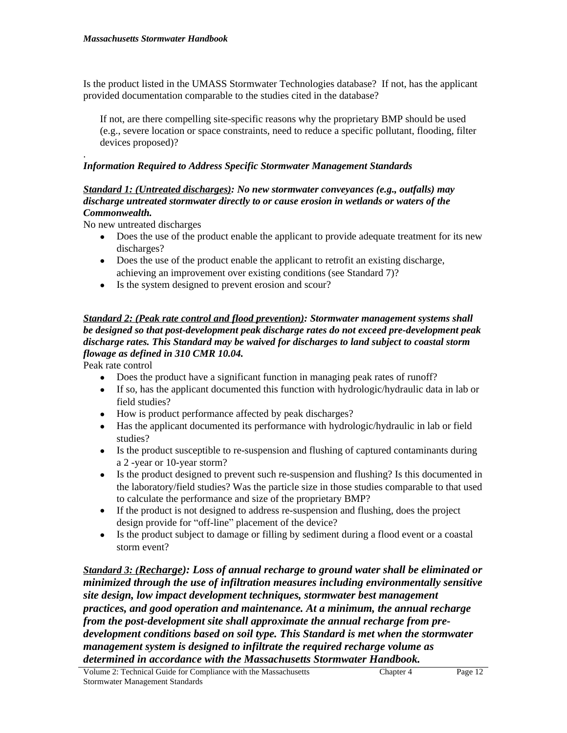Is the product listed in the UMASS Stormwater Technologies database? If not, has the applicant provided documentation comparable to the studies cited in the database?

If not, are there compelling site-specific reasons why the proprietary BMP should be used (e.g., severe location or space constraints, need to reduce a specific pollutant, flooding, filter devices proposed)?

#### . *Information Required to Address Specific Stormwater Management Standards*

#### *Standard 1: (Untreated discharges): No new stormwater conveyances (e.g., outfalls) may discharge untreated stormwater directly to or cause erosion in wetlands or waters of the Commonwealth.*

No new untreated discharges

- Does the use of the product enable the applicant to provide adequate treatment for its new discharges?
- Does the use of the product enable the applicant to retrofit an existing discharge, achieving an improvement over existing conditions (see Standard 7)?
- Is the system designed to prevent erosion and scour?

### *Standard 2: (Peak rate control and flood prevention): Stormwater management systems shall be designed so that post-development peak discharge rates do not exceed pre-development peak discharge rates. This Standard may be waived for discharges to land subject to coastal storm flowage as defined in 310 CMR 10.04.*

Peak rate control

- Does the product have a significant function in managing peak rates of runoff?
- If so, has the applicant documented this function with hydrologic/hydraulic data in lab or field studies?
- How is product performance affected by peak discharges?
- Has the applicant documented its performance with hydrologic/hydraulic in lab or field studies?
- Is the product susceptible to re-suspension and flushing of captured contaminants during a 2 -year or 10-year storm?
- Is the product designed to prevent such re-suspension and flushing? Is this documented in the laboratory/field studies? Was the particle size in those studies comparable to that used to calculate the performance and size of the proprietary BMP?
- If the product is not designed to address re-suspension and flushing, does the project design provide for "off-line" placement of the device?
- Is the product subject to damage or filling by sediment during a flood event or a coastal storm event?

*Standard 3: (Recharge): Loss of annual recharge to ground water shall be eliminated or minimized through the use of infiltration measures including environmentally sensitive site design, low impact development techniques, stormwater best management practices, and good operation and maintenance. At a minimum, the annual recharge from the post-development site shall approximate the annual recharge from predevelopment conditions based on soil type. This Standard is met when the stormwater management system is designed to infiltrate the required recharge volume as determined in accordance with the Massachusetts Stormwater Handbook.*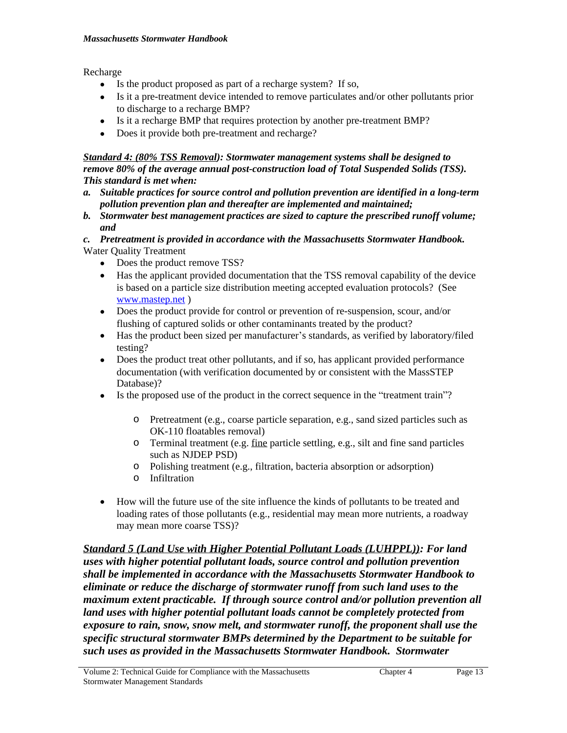Recharge

- Is the product proposed as part of a recharge system? If so,
- Is it a pre-treatment device intended to remove particulates and/or other pollutants prior to discharge to a recharge BMP?
- Is it a recharge BMP that requires protection by another pre-treatment BMP?
- Does it provide both pre-treatment and recharge?

*Standard 4: (80% TSS Removal): Stormwater management systems shall be designed to remove 80% of the average annual post-construction load of Total Suspended Solids (TSS). This standard is met when:*

- *a. Suitable practices for source control and pollution prevention are identified in a long-term pollution prevention plan and thereafter are implemented and maintained;*
- *b. Stormwater best management practices are sized to capture the prescribed runoff volume; and*
- *c. Pretreatment is provided in accordance with the Massachusetts Stormwater Handbook.* Water Quality Treatment
	- Does the product remove TSS?
	- Has the applicant provided documentation that the TSS removal capability of the device is based on a particle size distribution meeting accepted evaluation protocols? (See [www.mastep.net](http://www.mastep.net) )
	- Does the product provide for control or prevention of re-suspension, scour, and/or flushing of captured solids or other contaminants treated by the product?
	- Has the product been sized per manufacturer's standards, as verified by laboratory/filed testing?
	- Does the product treat other pollutants, and if so, has applicant provided performance documentation (with verification documented by or consistent with the MassSTEP Database)?
	- Is the proposed use of the product in the correct sequence in the "treatment train"?
		- o Pretreatment (e.g., coarse particle separation, e.g., sand sized particles such as OK-110 floatables removal)
		- o Terminal treatment (e.g. fine particle settling, e.g., silt and fine sand particles such as NJDEP PSD)
		- o Polishing treatment (e.g., filtration, bacteria absorption or adsorption)
		- o Infiltration
	- How will the future use of the site influence the kinds of pollutants to be treated and loading rates of those pollutants (e.g., residential may mean more nutrients, a roadway may mean more coarse TSS)?

*Standard 5 (Land Use with Higher Potential Pollutant Loads (LUHPPL)): For land uses with higher potential pollutant loads, source control and pollution prevention shall be implemented in accordance with the Massachusetts Stormwater Handbook to eliminate or reduce the discharge of stormwater runoff from such land uses to the maximum extent practicable. If through source control and/or pollution prevention all land uses with higher potential pollutant loads cannot be completely protected from exposure to rain, snow, snow melt, and stormwater runoff, the proponent shall use the specific structural stormwater BMPs determined by the Department to be suitable for such uses as provided in the Massachusetts Stormwater Handbook. Stormwater*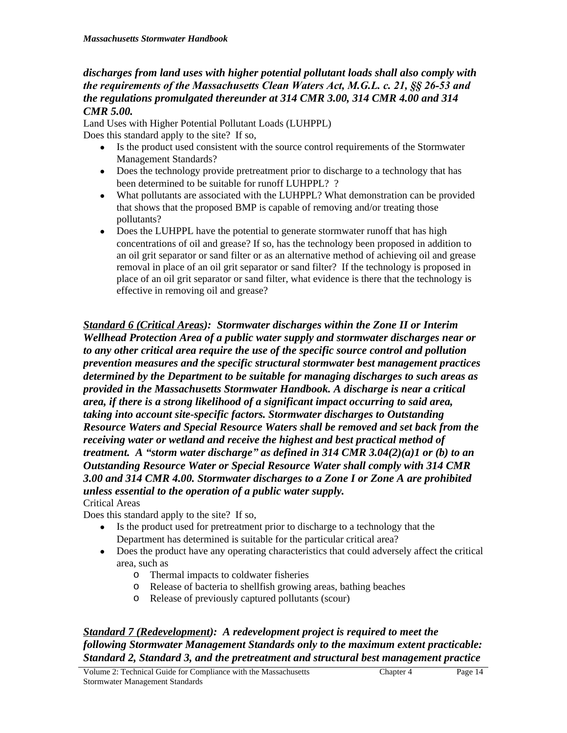*discharges from land uses with higher potential pollutant loads shall also comply with the requirements of the Massachusetts Clean Waters Act, M.G.L. c. 21, §§ 26-53 and the regulations promulgated thereunder at 314 CMR 3.00, 314 CMR 4.00 and 314 CMR 5.00.* 

Land Uses with Higher Potential Pollutant Loads (LUHPPL) Does this standard apply to the site? If so,

- Is the product used consistent with the source control requirements of the Stormwater Management Standards?
- Does the technology provide pretreatment prior to discharge to a technology that has been determined to be suitable for runoff LUHPPL? ?
- What pollutants are associated with the LUHPPL? What demonstration can be provided that shows that the proposed BMP is capable of removing and/or treating those pollutants?
- Does the LUHPPL have the potential to generate stormwater runoff that has high concentrations of oil and grease? If so, has the technology been proposed in addition to an oil grit separator or sand filter or as an alternative method of achieving oil and grease removal in place of an oil grit separator or sand filter? If the technology is proposed in place of an oil grit separator or sand filter, what evidence is there that the technology is effective in removing oil and grease?

*Standard 6 (Critical Areas): Stormwater discharges within the Zone II or Interim Wellhead Protection Area of a public water supply and stormwater discharges near or to any other critical area require the use of the specific source control and pollution prevention measures and the specific structural stormwater best management practices determined by the Department to be suitable for managing discharges to such areas as provided in the Massachusetts Stormwater Handbook. A discharge is near a critical area, if there is a strong likelihood of a significant impact occurring to said area, taking into account site-specific factors. Stormwater discharges to Outstanding Resource Waters and Special Resource Waters shall be removed and set back from the receiving water or wetland and receive the highest and best practical method of treatment. A "storm water discharge" as defined in 314 CMR 3.04(2)(a)1 or (b) to an Outstanding Resource Water or Special Resource Water shall comply with 314 CMR 3.00 and 314 CMR 4.00. Stormwater discharges to a Zone I or Zone A are prohibited unless essential to the operation of a public water supply.*  Critical Areas

Does this standard apply to the site? If so,

- Is the product used for pretreatment prior to discharge to a technology that the Department has determined is suitable for the particular critical area?
- Does the product have any operating characteristics that could adversely affect the critical area, such as
	- o Thermal impacts to coldwater fisheries
	- o Release of bacteria to shellfish growing areas, bathing beaches
	- o Release of previously captured pollutants (scour)

### *Standard 7 (Redevelopment): A redevelopment project is required to meet the following Stormwater Management Standards only to the maximum extent practicable: Standard 2, Standard 3, and the pretreatment and structural best management practice*